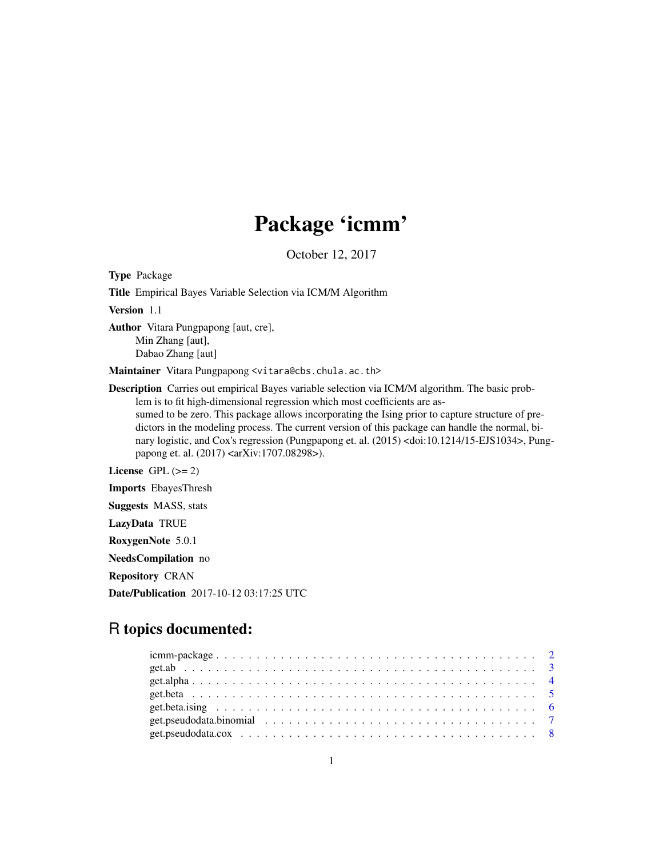# Package 'icmm'

October 12, 2017

Type Package Title Empirical Bayes Variable Selection via ICM/M Algorithm Version 1.1 Author Vitara Pungpapong [aut, cre], Min Zhang [aut], Dabao Zhang [aut] Maintainer Vitara Pungpapong <vitara@cbs.chula.ac.th> Description Carries out empirical Bayes variable selection via ICM/M algorithm. The basic problem is to fit high-dimensional regression which most coefficients are assumed to be zero. This package allows incorporating the Ising prior to capture structure of predictors in the modeling process. The current version of this package can handle the normal, binary logistic, and Cox's regression (Pungpapong et. al. (2015) <doi:10.1214/15-EJS1034>, Pungpapong et. al. (2017) <arXiv:1707.08298>). License GPL  $(>= 2)$ Imports EbayesThresh Suggests MASS, stats LazyData TRUE

RoxygenNote 5.0.1

NeedsCompilation no

Repository CRAN

Date/Publication 2017-10-12 03:17:25 UTC

## R topics documented: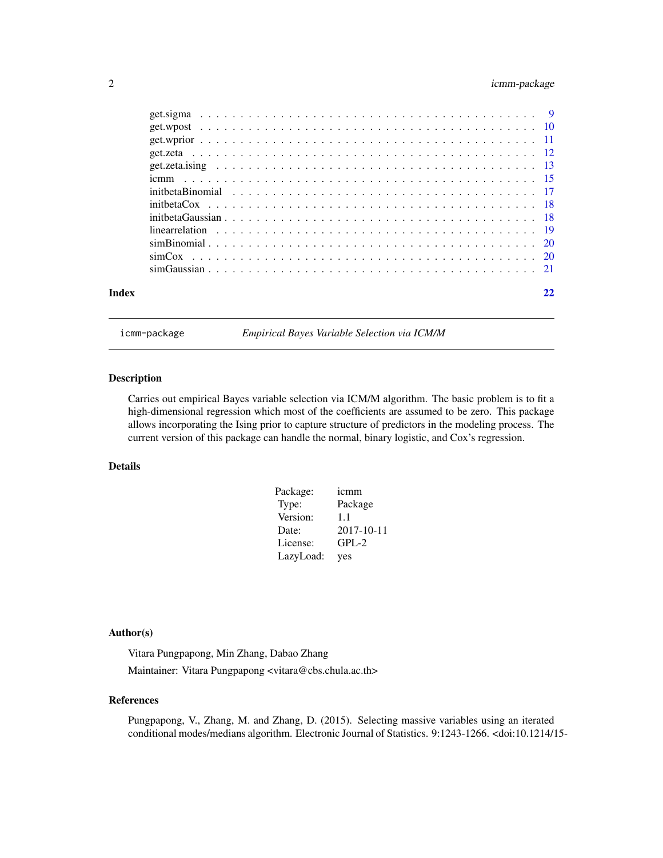### <span id="page-1-0"></span>2 icmm-package

| Index |  |
|-------|--|
|       |  |

icmm-package *Empirical Bayes Variable Selection via ICM/M*

#### Description

Carries out empirical Bayes variable selection via ICM/M algorithm. The basic problem is to fit a high-dimensional regression which most of the coefficients are assumed to be zero. This package allows incorporating the Ising prior to capture structure of predictors in the modeling process. The current version of this package can handle the normal, binary logistic, and Cox's regression.

#### Details

| Package:  | icmm             |
|-----------|------------------|
| Type:     | Package          |
| Version:  | 1.1              |
| Date:     | $2017 - 10 - 11$ |
| License:  | $GPL-2$          |
| LazyLoad: | yes              |

#### Author(s)

Vitara Pungpapong, Min Zhang, Dabao Zhang Maintainer: Vitara Pungpapong <vitara@cbs.chula.ac.th>

#### References

Pungpapong, V., Zhang, M. and Zhang, D. (2015). Selecting massive variables using an iterated conditional modes/medians algorithm. Electronic Journal of Statistics. 9:1243-1266. <doi:10.1214/15-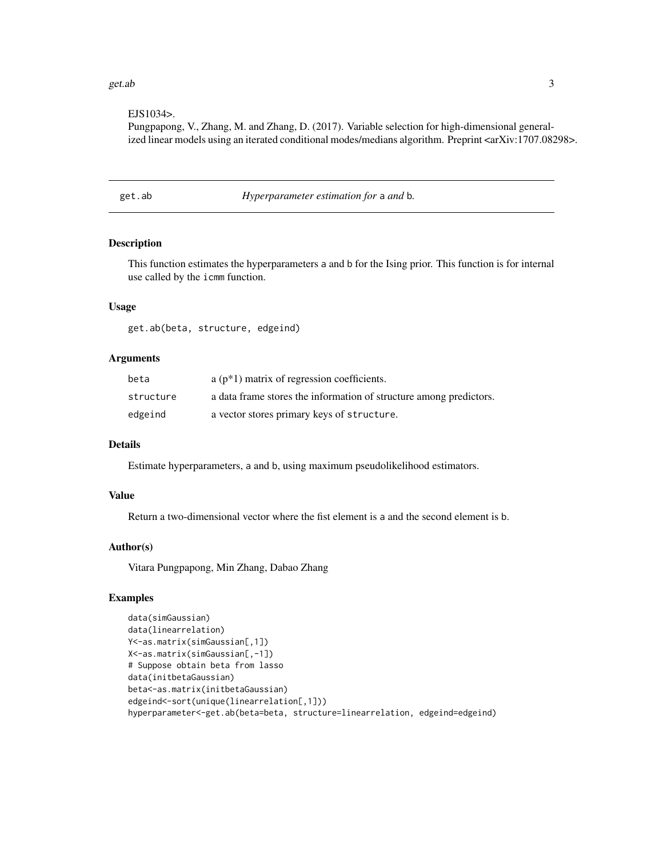#### <span id="page-2-0"></span> $get.ab$  3

#### EJS1034>.

Pungpapong, V., Zhang, M. and Zhang, D. (2017). Variable selection for high-dimensional generalized linear models using an iterated conditional modes/medians algorithm. Preprint <arXiv:1707.08298>.

get.ab *Hyperparameter estimation for* a *and* b*.*

#### Description

This function estimates the hyperparameters a and b for the Ising prior. This function is for internal use called by the icmm function.

#### Usage

get.ab(beta, structure, edgeind)

#### Arguments

| beta      | $a(p*1)$ matrix of regression coefficients.                        |
|-----------|--------------------------------------------------------------------|
| structure | a data frame stores the information of structure among predictors. |
| edgeind   | a vector stores primary keys of structure.                         |

#### Details

Estimate hyperparameters, a and b, using maximum pseudolikelihood estimators.

#### Value

Return a two-dimensional vector where the fist element is a and the second element is b.

#### Author(s)

Vitara Pungpapong, Min Zhang, Dabao Zhang

```
data(simGaussian)
data(linearrelation)
Y<-as.matrix(simGaussian[,1])
X<-as.matrix(simGaussian[,-1])
# Suppose obtain beta from lasso
data(initbetaGaussian)
beta<-as.matrix(initbetaGaussian)
edgeind<-sort(unique(linearrelation[,1]))
hyperparameter<-get.ab(beta=beta, structure=linearrelation, edgeind=edgeind)
```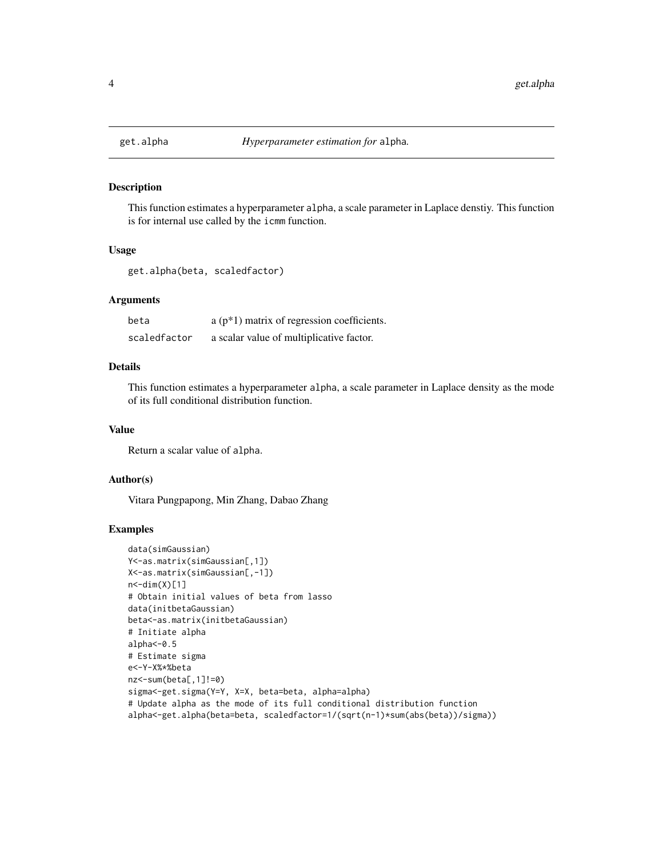<span id="page-3-0"></span>

#### Description

This function estimates a hyperparameter alpha, a scale parameter in Laplace denstiy. This function is for internal use called by the icmm function.

#### Usage

get.alpha(beta, scaledfactor)

#### **Arguments**

| beta         | $a(p*1)$ matrix of regression coefficients. |
|--------------|---------------------------------------------|
| scaledfactor | a scalar value of multiplicative factor.    |

#### Details

This function estimates a hyperparameter alpha, a scale parameter in Laplace density as the mode of its full conditional distribution function.

#### Value

Return a scalar value of alpha.

#### Author(s)

Vitara Pungpapong, Min Zhang, Dabao Zhang

```
data(simGaussian)
Y<-as.matrix(simGaussian[,1])
X<-as.matrix(simGaussian[,-1])
n < -dim(X)[1]# Obtain initial values of beta from lasso
data(initbetaGaussian)
beta<-as.matrix(initbetaGaussian)
# Initiate alpha
alpha<-0.5
# Estimate sigma
e<-Y-X%*%beta
nz<-sum(beta[,1]!=0)
sigma<-get.sigma(Y=Y, X=X, beta=beta, alpha=alpha)
# Update alpha as the mode of its full conditional distribution function
alpha<-get.alpha(beta=beta, scaledfactor=1/(sqrt(n-1)*sum(abs(beta))/sigma))
```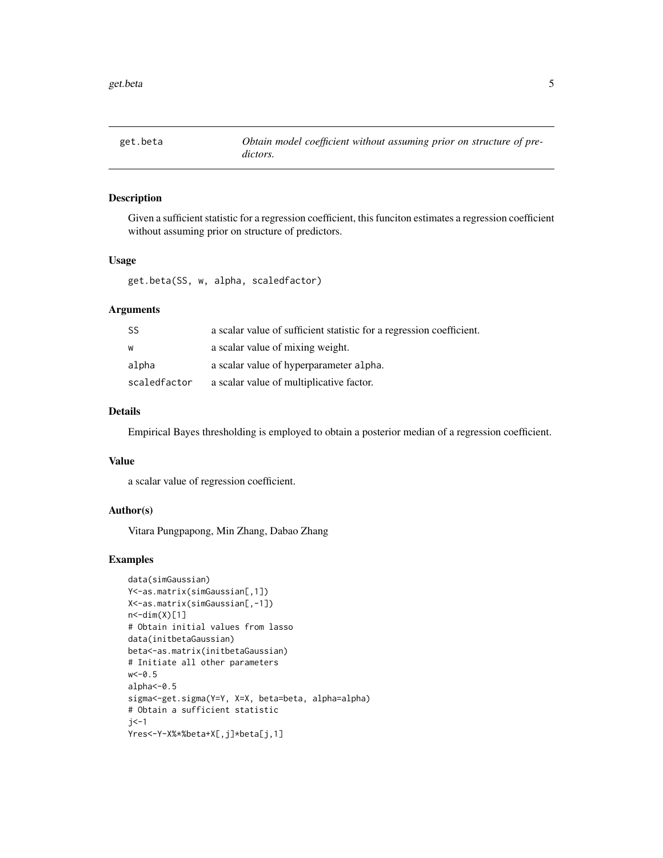<span id="page-4-0"></span>

#### Description

Given a sufficient statistic for a regression coefficient, this funciton estimates a regression coefficient without assuming prior on structure of predictors.

#### Usage

get.beta(SS, w, alpha, scaledfactor)

#### Arguments

| SS           | a scalar value of sufficient statistic for a regression coefficient. |
|--------------|----------------------------------------------------------------------|
| W            | a scalar value of mixing weight.                                     |
| alpha        | a scalar value of hyperparameter alpha.                              |
| scaledfactor | a scalar value of multiplicative factor.                             |

#### Details

Empirical Bayes thresholding is employed to obtain a posterior median of a regression coefficient.

#### Value

a scalar value of regression coefficient.

#### Author(s)

Vitara Pungpapong, Min Zhang, Dabao Zhang

```
data(simGaussian)
Y<-as.matrix(simGaussian[,1])
X<-as.matrix(simGaussian[,-1])
n < -dim(X)[1]# Obtain initial values from lasso
data(initbetaGaussian)
beta<-as.matrix(initbetaGaussian)
# Initiate all other parameters
w < -0.5alpha<-0.5
sigma<-get.sigma(Y=Y, X=X, beta=beta, alpha=alpha)
# Obtain a sufficient statistic
j < -1Yres<-Y-X%*%beta+X[,j]*beta[j,1]
```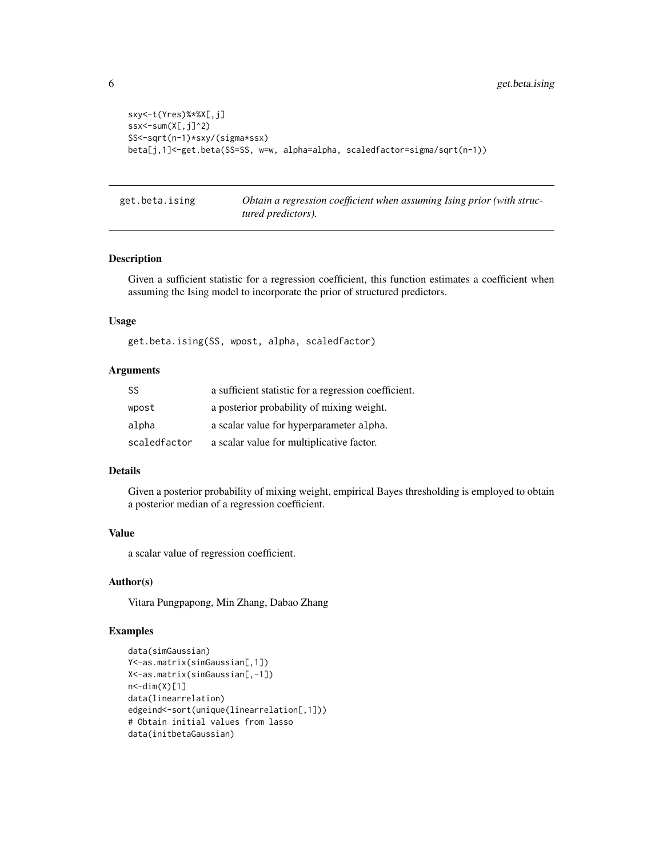```
sxy<-t(Yres)%*%X[,j]
ssx < - sum(X[, j]^2)
SS<-sqrt(n-1)*sxy/(sigma*ssx)
beta[j,1]<-get.beta(SS=SS, w=w, alpha=alpha, scaledfactor=sigma/sqrt(n-1))
```
get.beta.ising *Obtain a regression coefficient when assuming Ising prior (with structured predictors).*

#### Description

Given a sufficient statistic for a regression coefficient, this function estimates a coefficient when assuming the Ising model to incorporate the prior of structured predictors.

#### Usage

get.beta.ising(SS, wpost, alpha, scaledfactor)

#### Arguments

| <b>SS</b>    | a sufficient statistic for a regression coefficient. |
|--------------|------------------------------------------------------|
| wpost        | a posterior probability of mixing weight.            |
| alpha        | a scalar value for hyperparameter alpha.             |
| scaledfactor | a scalar value for multiplicative factor.            |

#### Details

Given a posterior probability of mixing weight, empirical Bayes thresholding is employed to obtain a posterior median of a regression coefficient.

#### Value

a scalar value of regression coefficient.

#### Author(s)

Vitara Pungpapong, Min Zhang, Dabao Zhang

```
data(simGaussian)
Y<-as.matrix(simGaussian[,1])
X<-as.matrix(simGaussian[,-1])
n < -dim(X)[1]data(linearrelation)
edgeind<-sort(unique(linearrelation[,1]))
# Obtain initial values from lasso
data(initbetaGaussian)
```
<span id="page-5-0"></span>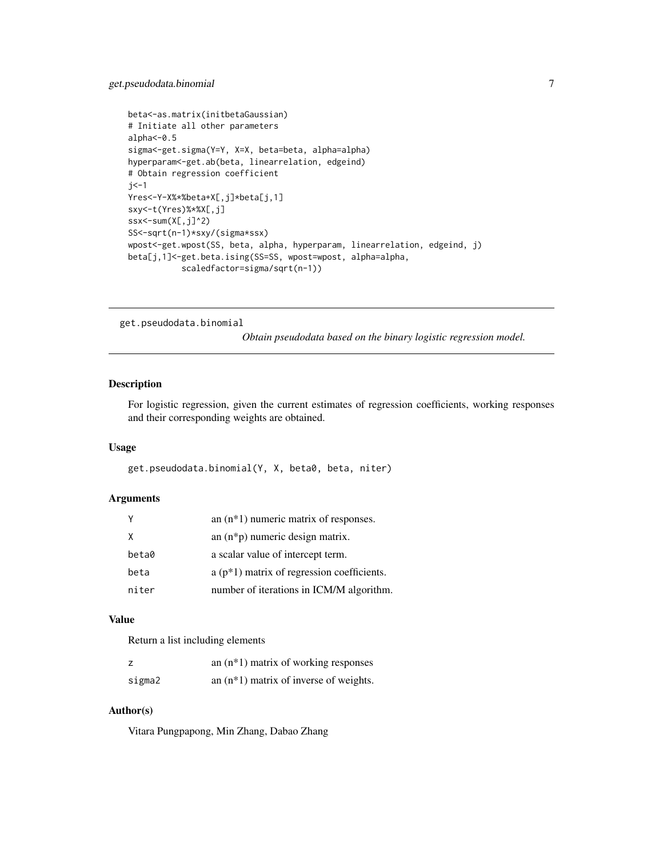```
beta<-as.matrix(initbetaGaussian)
# Initiate all other parameters
alpha<-0.5
sigma<-get.sigma(Y=Y, X=X, beta=beta, alpha=alpha)
hyperparam<-get.ab(beta, linearrelation, edgeind)
# Obtain regression coefficient
j <-1
Yres<-Y-X%*%beta+X[,j]*beta[j,1]
sxy<-t(Yres)%*%X[,j]
ssx<-sum(X[,j]\hat{ }2)SS<-sqrt(n-1)*sxy/(sigma*ssx)
wpost<-get.wpost(SS, beta, alpha, hyperparam, linearrelation, edgeind, j)
beta[j,1]<-get.beta.ising(SS=SS, wpost=wpost, alpha=alpha,
           scaledfactor=sigma/sqrt(n-1))
```
get.pseudodata.binomial

*Obtain pseudodata based on the binary logistic regression model.*

#### Description

For logistic regression, given the current estimates of regression coefficients, working responses and their corresponding weights are obtained.

#### Usage

get.pseudodata.binomial(Y, X, beta0, beta, niter)

#### **Arguments**

| Υ     | an $(n*1)$ numeric matrix of responses.     |
|-------|---------------------------------------------|
| X     | an $(n * p)$ numeric design matrix.         |
| beta0 | a scalar value of intercept term.           |
| beta  | $a(p*1)$ matrix of regression coefficients. |
| niter | number of iterations in ICM/M algorithm.    |

#### Value

Return a list including elements

|        | an $(n*1)$ matrix of working responses   |
|--------|------------------------------------------|
| sigma2 | an $(n*1)$ matrix of inverse of weights. |

#### Author(s)

Vitara Pungpapong, Min Zhang, Dabao Zhang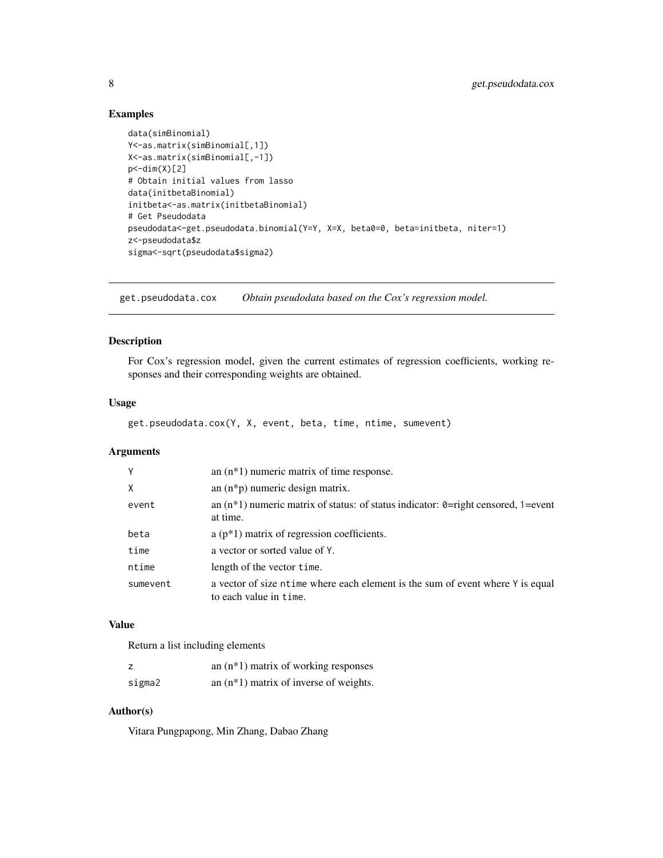#### Examples

```
data(simBinomial)
Y<-as.matrix(simBinomial[,1])
X<-as.matrix(simBinomial[,-1])
p < -dim(X)[2]# Obtain initial values from lasso
data(initbetaBinomial)
initbeta<-as.matrix(initbetaBinomial)
# Get Pseudodata
pseudodata<-get.pseudodata.binomial(Y=Y, X=X, beta0=0, beta=initbeta, niter=1)
z<-pseudodata$z
sigma<-sqrt(pseudodata$sigma2)
```
get.pseudodata.cox *Obtain pseudodata based on the Cox's regression model.*

#### Description

For Cox's regression model, given the current estimates of regression coefficients, working responses and their corresponding weights are obtained.

#### Usage

get.pseudodata.cox(Y, X, event, beta, time, ntime, sumevent)

#### Arguments

| Y        | an $(n*1)$ numeric matrix of time response.                                                              |
|----------|----------------------------------------------------------------------------------------------------------|
| X        | an $(n * p)$ numeric design matrix.                                                                      |
| event    | an $(n*1)$ numeric matrix of status: of status indicator: $\theta$ =right censored, 1=event<br>at time.  |
| beta     | $a(p*1)$ matrix of regression coefficients.                                                              |
| time     | a vector or sorted value of Y.                                                                           |
| ntime    | length of the vector time.                                                                               |
| sumevent | a vector of size ntime where each element is the sum of event where Y is equal<br>to each value in time. |

#### Value

Return a list including elements

| z      | an $(n*1)$ matrix of working responses   |
|--------|------------------------------------------|
| sigma2 | an $(n*1)$ matrix of inverse of weights. |

#### Author(s)

Vitara Pungpapong, Min Zhang, Dabao Zhang

<span id="page-7-0"></span>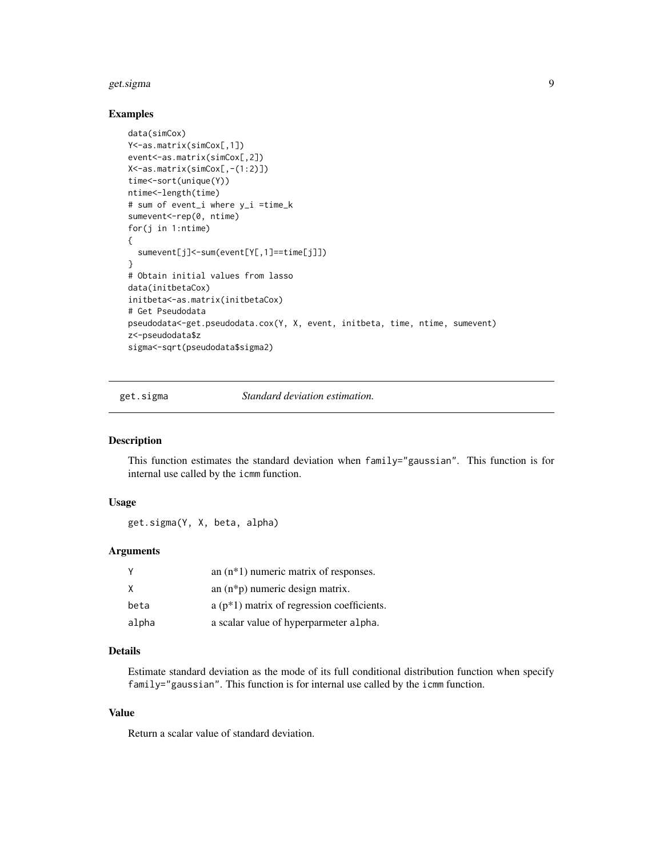#### <span id="page-8-0"></span>get.sigma 9

#### Examples

```
data(simCox)
Y<-as.matrix(simCox[,1])
event<-as.matrix(simCox[,2])
X<-as.matrix(simCox[,-(1:2)])
time<-sort(unique(Y))
ntime<-length(time)
# sum of event_i where y_i =time_k
sumevent<-rep(0, ntime)
for(j in 1:ntime)
{
  sumevent[j]<-sum(event[Y[,1]==time[j]])
}
# Obtain initial values from lasso
data(initbetaCox)
initbeta<-as.matrix(initbetaCox)
# Get Pseudodata
pseudodata<-get.pseudodata.cox(Y, X, event, initbeta, time, ntime, sumevent)
z<-pseudodata$z
sigma<-sqrt(pseudodata$sigma2)
```
get.sigma *Standard deviation estimation.*

#### Description

This function estimates the standard deviation when family="gaussian". This function is for internal use called by the icmm function.

#### Usage

get.sigma(Y, X, beta, alpha)

#### Arguments

|       | an $(n*1)$ numeric matrix of responses.     |
|-------|---------------------------------------------|
| X     | an $(n * p)$ numeric design matrix.         |
| beta  | $a(p*1)$ matrix of regression coefficients. |
| alpha | a scalar value of hyperparmeter alpha.      |

#### Details

Estimate standard deviation as the mode of its full conditional distribution function when specify family="gaussian". This function is for internal use called by the icmm function.

#### Value

Return a scalar value of standard deviation.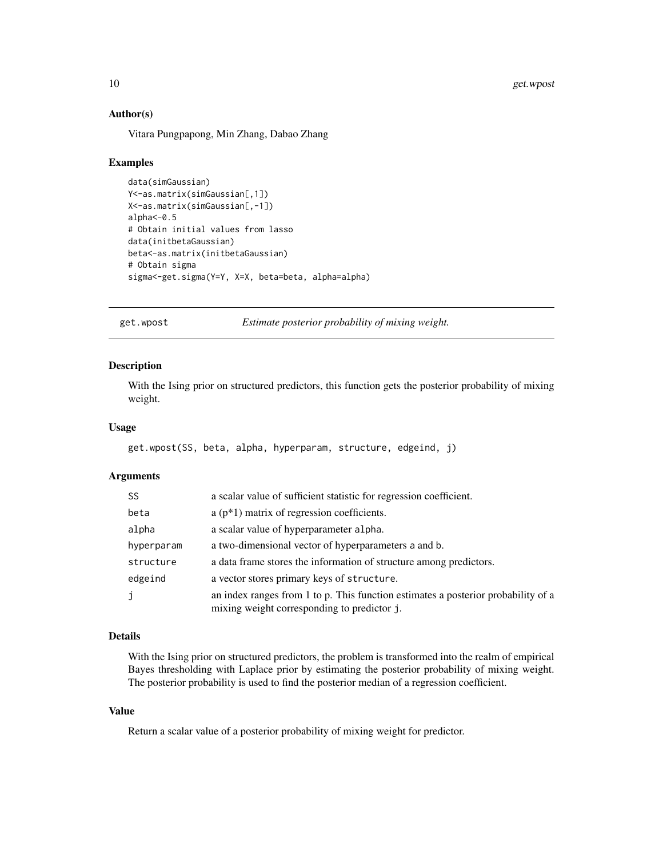#### Author(s)

Vitara Pungpapong, Min Zhang, Dabao Zhang

#### Examples

```
data(simGaussian)
Y<-as.matrix(simGaussian[,1])
X<-as.matrix(simGaussian[,-1])
alpha<-0.5
# Obtain initial values from lasso
data(initbetaGaussian)
beta<-as.matrix(initbetaGaussian)
# Obtain sigma
sigma<-get.sigma(Y=Y, X=X, beta=beta, alpha=alpha)
```
get.wpost *Estimate posterior probability of mixing weight.*

#### Description

With the Ising prior on structured predictors, this function gets the posterior probability of mixing weight.

#### Usage

```
get.wpost(SS, beta, alpha, hyperparam, structure, edgeind, j)
```
#### Arguments

| SS.        | a scalar value of sufficient statistic for regression coefficient.                                                               |  |
|------------|----------------------------------------------------------------------------------------------------------------------------------|--|
| beta       | $a(p*1)$ matrix of regression coefficients.                                                                                      |  |
| alpha      | a scalar value of hyperparameter alpha.                                                                                          |  |
| hyperparam | a two-dimensional vector of hyperparameters a and b.                                                                             |  |
| structure  | a data frame stores the information of structure among predictors.                                                               |  |
| edgeind    | a vector stores primary keys of structure.                                                                                       |  |
| j          | an index ranges from 1 to p. This function estimates a posterior probability of a<br>mixing weight corresponding to predictor j. |  |

#### Details

With the Ising prior on structured predictors, the problem is transformed into the realm of empirical Bayes thresholding with Laplace prior by estimating the posterior probability of mixing weight. The posterior probability is used to find the posterior median of a regression coefficient.

#### Value

Return a scalar value of a posterior probability of mixing weight for predictor.

<span id="page-9-0"></span>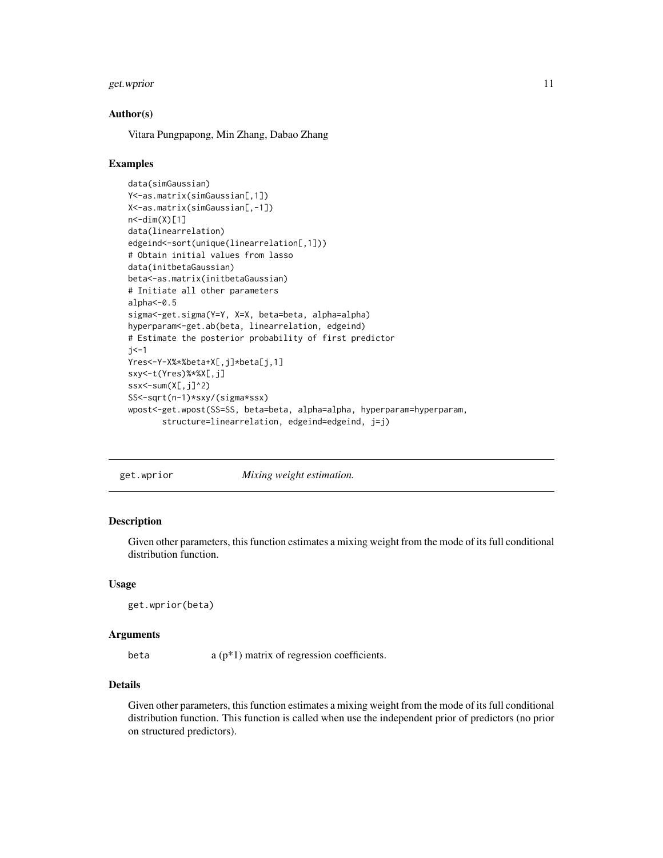#### <span id="page-10-0"></span>get.wprior that the contract of the contract of the contract of the contract of the contract of the contract of the contract of the contract of the contract of the contract of the contract of the contract of the contract o

#### Author(s)

Vitara Pungpapong, Min Zhang, Dabao Zhang

#### Examples

```
data(simGaussian)
Y<-as.matrix(simGaussian[,1])
X<-as.matrix(simGaussian[,-1])
n < -dim(X)[1]data(linearrelation)
edgeind<-sort(unique(linearrelation[,1]))
# Obtain initial values from lasso
data(initbetaGaussian)
beta<-as.matrix(initbetaGaussian)
# Initiate all other parameters
alpha<-0.5
sigma<-get.sigma(Y=Y, X=X, beta=beta, alpha=alpha)
hyperparam<-get.ab(beta, linearrelation, edgeind)
# Estimate the posterior probability of first predictor
j <-1
Yres<-Y-X%*%beta+X[,j]*beta[j,1]
sxy<-t(Yres)%*%X[,j]
ssx<-sum(X[,j]^2)
SS<-sqrt(n-1)*sxy/(sigma*ssx)
wpost<-get.wpost(SS=SS, beta=beta, alpha=alpha, hyperparam=hyperparam,
       structure=linearrelation, edgeind=edgeind, j=j)
```
get.wprior *Mixing weight estimation.*

#### Description

Given other parameters, this function estimates a mixing weight from the mode of its full conditional distribution function.

#### Usage

get.wprior(beta)

#### Arguments

beta  $a (p * 1)$  matrix of regression coefficients.

#### Details

Given other parameters, this function estimates a mixing weight from the mode of its full conditional distribution function. This function is called when use the independent prior of predictors (no prior on structured predictors).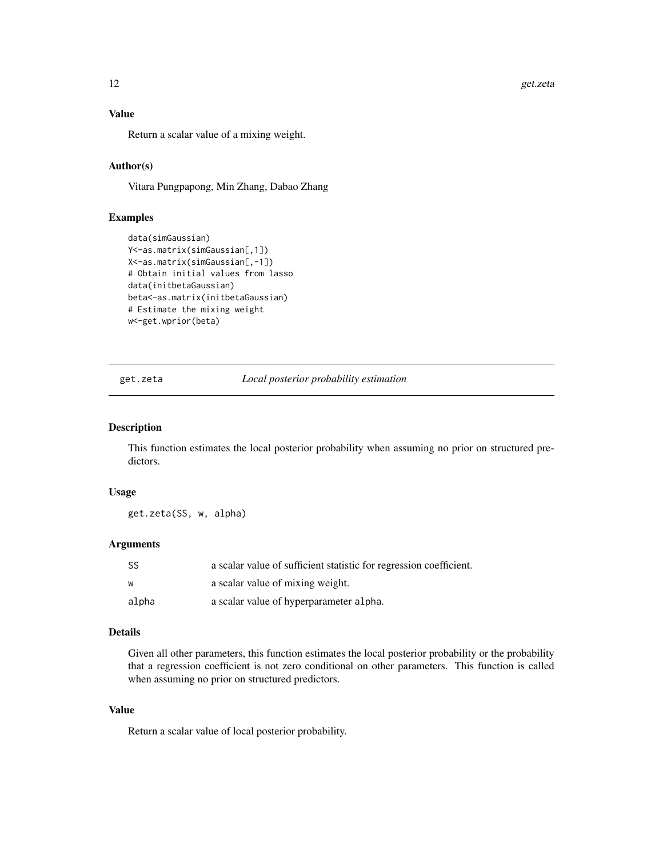#### <span id="page-11-0"></span>Value

Return a scalar value of a mixing weight.

#### Author(s)

Vitara Pungpapong, Min Zhang, Dabao Zhang

#### Examples

```
data(simGaussian)
Y<-as.matrix(simGaussian[,1])
X<-as.matrix(simGaussian[,-1])
# Obtain initial values from lasso
data(initbetaGaussian)
beta<-as.matrix(initbetaGaussian)
# Estimate the mixing weight
w<-get.wprior(beta)
```
get.zeta *Local posterior probability estimation*

#### Description

This function estimates the local posterior probability when assuming no prior on structured predictors.

#### Usage

get.zeta(SS, w, alpha)

#### Arguments

| - SS  | a scalar value of sufficient statistic for regression coefficient. |
|-------|--------------------------------------------------------------------|
| w     | a scalar value of mixing weight.                                   |
| alpha | a scalar value of hyperparameter alpha.                            |

#### Details

Given all other parameters, this function estimates the local posterior probability or the probability that a regression coefficient is not zero conditional on other parameters. This function is called when assuming no prior on structured predictors.

#### Value

Return a scalar value of local posterior probability.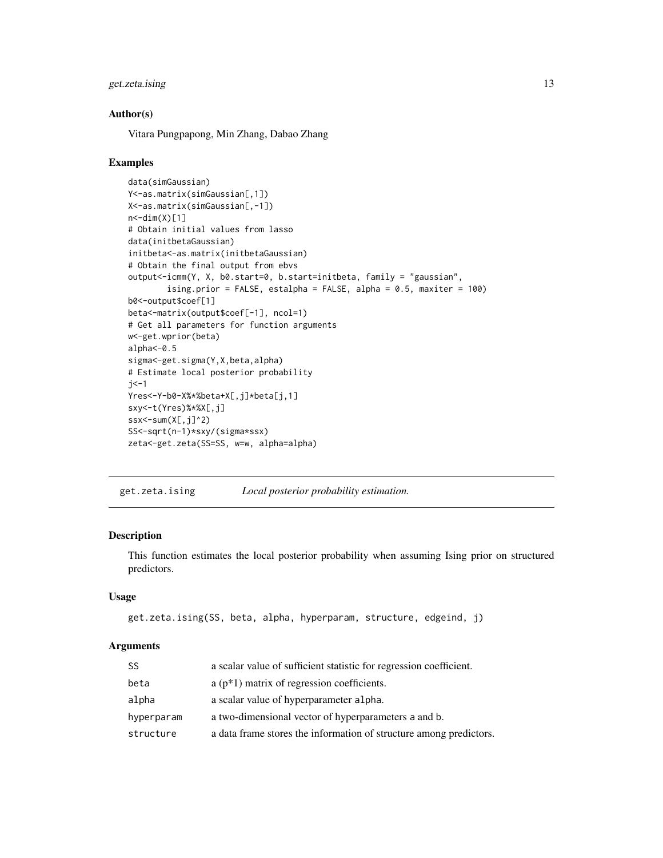#### <span id="page-12-0"></span>get.zeta.ising 13

#### Author(s)

Vitara Pungpapong, Min Zhang, Dabao Zhang

#### Examples

```
data(simGaussian)
Y<-as.matrix(simGaussian[,1])
X<-as.matrix(simGaussian[,-1])
n < -dim(X)[1]# Obtain initial values from lasso
data(initbetaGaussian)
initbeta<-as.matrix(initbetaGaussian)
# Obtain the final output from ebvs
output<-icmm(Y, X, b0.start=0, b.start=initbeta, family = "gaussian",
        ising.prior = FALSE, estalpha = FALSE, alpha = 0.5, maxiter = 100)
b0<-output$coef[1]
beta<-matrix(output$coef[-1], ncol=1)
# Get all parameters for function arguments
w<-get.wprior(beta)
alpha<-0.5
sigma<-get.sigma(Y,X,beta,alpha)
# Estimate local posterior probability
i <-1
Yres<-Y-b0-X%*%beta+X[,j]*beta[j,1]
sxy<-t(Yres)%*%X[,j]
ssx < -sum(X[, j]^2)
SS<-sqrt(n-1)*sxy/(sigma*ssx)
zeta<-get.zeta(SS=SS, w=w, alpha=alpha)
```
get.zeta.ising *Local posterior probability estimation.*

#### Description

This function estimates the local posterior probability when assuming Ising prior on structured predictors.

#### Usage

```
get.zeta.ising(SS, beta, alpha, hyperparam, structure, edgeind, j)
```
#### Arguments

| SS         | a scalar value of sufficient statistic for regression coefficient. |
|------------|--------------------------------------------------------------------|
| beta       | $a(p*1)$ matrix of regression coefficients.                        |
| alpha      | a scalar value of hyperparameter alpha.                            |
| hyperparam | a two-dimensional vector of hyperparameters a and b.               |
| structure  | a data frame stores the information of structure among predictors. |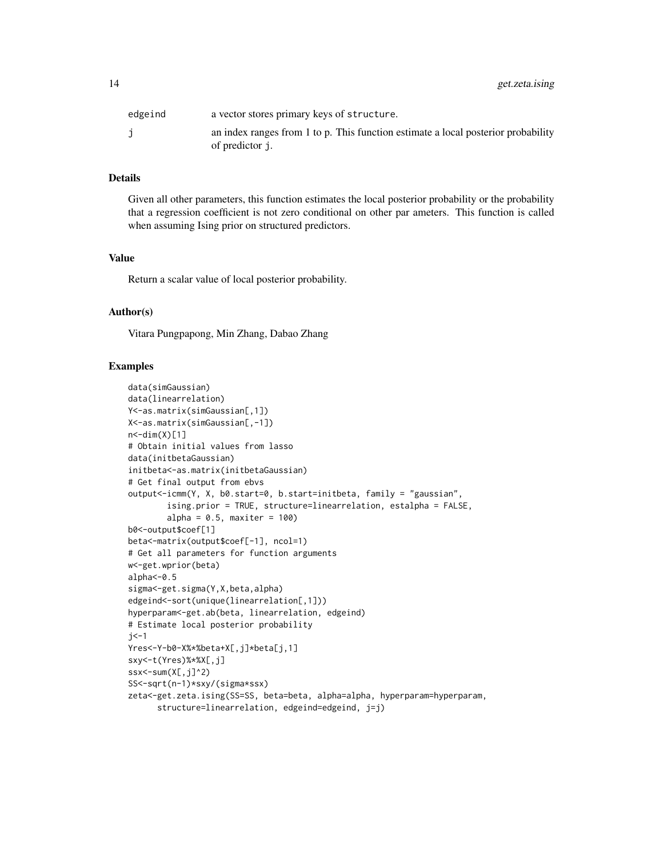| edgeind | a vector stores primary keys of structure.                                        |
|---------|-----------------------------------------------------------------------------------|
|         | an index ranges from 1 to p. This function estimate a local posterior probability |
|         | of predictor j.                                                                   |

#### Details

Given all other parameters, this function estimates the local posterior probability or the probability that a regression coefficient is not zero conditional on other par ameters. This function is called when assuming Ising prior on structured predictors.

#### Value

Return a scalar value of local posterior probability.

#### Author(s)

Vitara Pungpapong, Min Zhang, Dabao Zhang

```
data(simGaussian)
data(linearrelation)
Y<-as.matrix(simGaussian[,1])
X<-as.matrix(simGaussian[,-1])
n < -dim(X)[1]# Obtain initial values from lasso
data(initbetaGaussian)
initbeta<-as.matrix(initbetaGaussian)
# Get final output from ebvs
output<-icmm(Y, X, b0.start=0, b.start=initbeta, family = "gaussian",
        ising.prior = TRUE, structure=linearrelation, estalpha = FALSE,
        alpha = 0.5, maxiter = 100)
b0<-output$coef[1]
beta<-matrix(output$coef[-1], ncol=1)
# Get all parameters for function arguments
w<-get.wprior(beta)
alpha<-0.5
sigma<-get.sigma(Y,X,beta,alpha)
edgeind<-sort(unique(linearrelation[,1]))
hyperparam<-get.ab(beta, linearrelation, edgeind)
# Estimate local posterior probability
j <-1
Yres<-Y-b0-X%*%beta+X[,j]*beta[j,1]
sxy<-t(Yres)%*%X[,j]
ssx < - sum(X[, j]^2)
SS<-sqrt(n-1)*sxy/(sigma*ssx)
zeta<-get.zeta.ising(SS=SS, beta=beta, alpha=alpha, hyperparam=hyperparam,
      structure=linearrelation, edgeind=edgeind, j=j)
```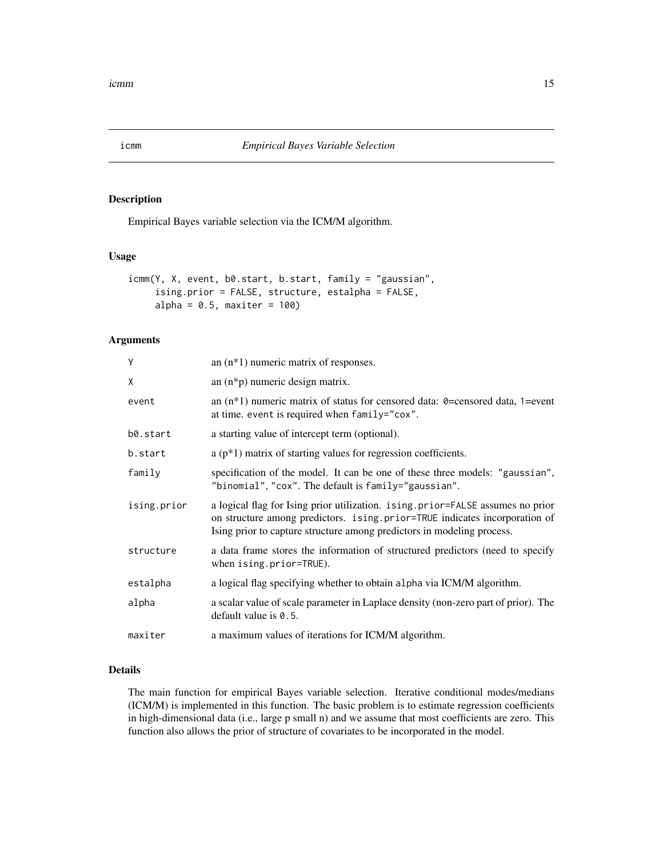<span id="page-14-0"></span>

#### Description

Empirical Bayes variable selection via the ICM/M algorithm.

#### Usage

```
icmm(Y, X, event, b0.start, b.start, family = "gaussian",
     ising.prior = FALSE, structure, estalpha = FALSE,
     alpha = 0.5, maxiter = 100)
```
#### Arguments

| Υ           | an $(n*1)$ numeric matrix of responses.                                                                                                                                                                                                |  |
|-------------|----------------------------------------------------------------------------------------------------------------------------------------------------------------------------------------------------------------------------------------|--|
| χ           | an $(n * p)$ numeric design matrix.                                                                                                                                                                                                    |  |
| event       | an $(n*1)$ numeric matrix of status for censored data: 0=censored data, 1=event<br>at time. event is required when family="cox".                                                                                                       |  |
| b0.start    | a starting value of intercept term (optional).                                                                                                                                                                                         |  |
| b.start     | a $(p*1)$ matrix of starting values for regression coefficients.                                                                                                                                                                       |  |
| family      | specification of the model. It can be one of these three models: "gaussian",<br>"binomial", "cox". The default is family="gaussian".                                                                                                   |  |
| ising.prior | a logical flag for Ising prior utilization. ising.prior=FALSE assumes no prior<br>on structure among predictors. ising.prior=TRUE indicates incorporation of<br>Ising prior to capture structure among predictors in modeling process. |  |
| structure   | a data frame stores the information of structured predictors (need to specify<br>when ising.prior=TRUE).                                                                                                                               |  |
| estalpha    | a logical flag specifying whether to obtain alpha via ICM/M algorithm.                                                                                                                                                                 |  |
| alpha       | a scalar value of scale parameter in Laplace density (non-zero part of prior). The<br>default value is 0.5.                                                                                                                            |  |
| maxiter     | a maximum values of iterations for ICM/M algorithm.                                                                                                                                                                                    |  |

#### Details

The main function for empirical Bayes variable selection. Iterative conditional modes/medians (ICM/M) is implemented in this function. The basic problem is to estimate regression coefficients in high-dimensional data (i.e., large p small n) and we assume that most coefficients are zero. This function also allows the prior of structure of covariates to be incorporated in the model.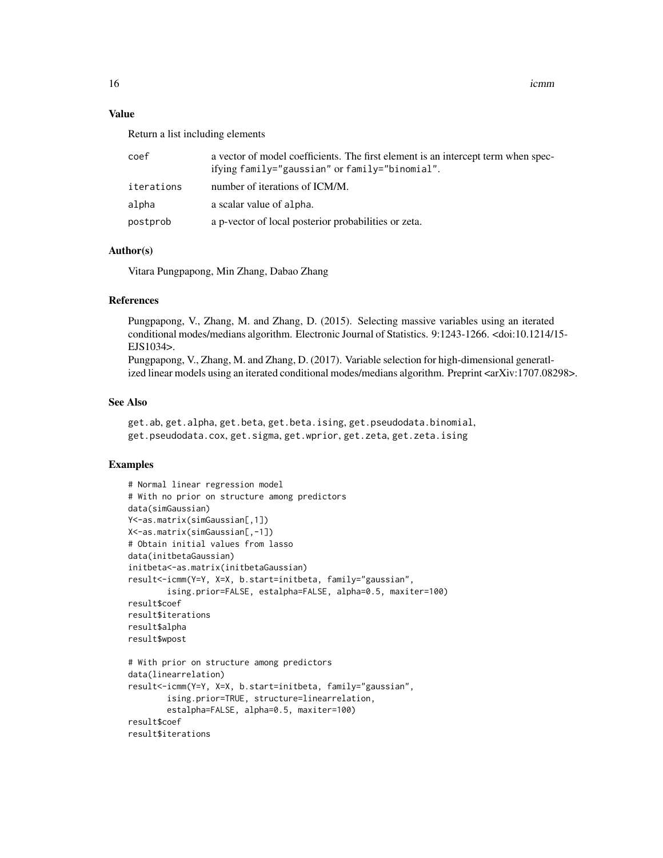#### Value

Return a list including elements

| coef       | a vector of model coefficients. The first element is an intercept term when spec-<br>ifying family="gaussian" or family="binomial". |
|------------|-------------------------------------------------------------------------------------------------------------------------------------|
| iterations | number of iterations of ICM/M.                                                                                                      |
| alpha      | a scalar value of alpha.                                                                                                            |
| postprob   | a p-vector of local posterior probabilities or zeta.                                                                                |

#### Author(s)

Vitara Pungpapong, Min Zhang, Dabao Zhang

#### References

Pungpapong, V., Zhang, M. and Zhang, D. (2015). Selecting massive variables using an iterated conditional modes/medians algorithm. Electronic Journal of Statistics. 9:1243-1266. <doi:10.1214/15- EJS1034>.

Pungpapong, V., Zhang, M. and Zhang, D. (2017). Variable selection for high-dimensional generatlized linear models using an iterated conditional modes/medians algorithm. Preprint <arXiv:1707.08298>.

#### See Also

get.ab, get.alpha, get.beta, get.beta.ising, get.pseudodata.binomial, get.pseudodata.cox, get.sigma, get.wprior, get.zeta, get.zeta.ising

```
# Normal linear regression model
# With no prior on structure among predictors
data(simGaussian)
Y<-as.matrix(simGaussian[,1])
X<-as.matrix(simGaussian[,-1])
# Obtain initial values from lasso
data(initbetaGaussian)
initbeta<-as.matrix(initbetaGaussian)
result<-icmm(Y=Y, X=X, b.start=initbeta, family="gaussian",
        ising.prior=FALSE, estalpha=FALSE, alpha=0.5, maxiter=100)
result$coef
result$iterations
result$alpha
result$wpost
# With prior on structure among predictors
data(linearrelation)
result<-icmm(Y=Y, X=X, b.start=initbeta, family="gaussian",
        ising.prior=TRUE, structure=linearrelation,
        estalpha=FALSE, alpha=0.5, maxiter=100)
result$coef
result$iterations
```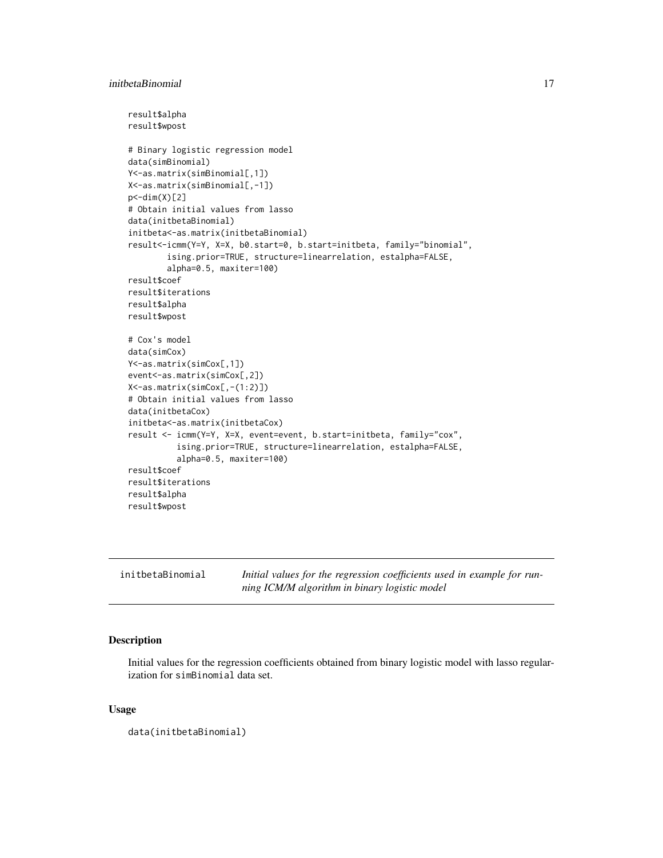```
result$alpha
result$wpost
# Binary logistic regression model
data(simBinomial)
Y<-as.matrix(simBinomial[,1])
X<-as.matrix(simBinomial[,-1])
p < -dim(X)[2]# Obtain initial values from lasso
data(initbetaBinomial)
initbeta<-as.matrix(initbetaBinomial)
result<-icmm(Y=Y, X=X, b0.start=0, b.start=initbeta, family="binomial",
        ising.prior=TRUE, structure=linearrelation, estalpha=FALSE,
        alpha=0.5, maxiter=100)
result$coef
result$iterations
result$alpha
result$wpost
# Cox's model
data(simCox)
Y<-as.matrix(simCox[,1])
event<-as.matrix(simCox[,2])
X<-as.matrix(simCox[,-(1:2)])
# Obtain initial values from lasso
data(initbetaCox)
initbeta<-as.matrix(initbetaCox)
result <- icmm(Y=Y, X=X, event=event, b.start=initbeta, family="cox",
          ising.prior=TRUE, structure=linearrelation, estalpha=FALSE,
          alpha=0.5, maxiter=100)
result$coef
result$iterations
result$alpha
result$wpost
```
initbetaBinomial *Initial values for the regression coefficients used in example for running ICM/M algorithm in binary logistic model*

#### Description

Initial values for the regression coefficients obtained from binary logistic model with lasso regularization for simBinomial data set.

#### Usage

data(initbetaBinomial)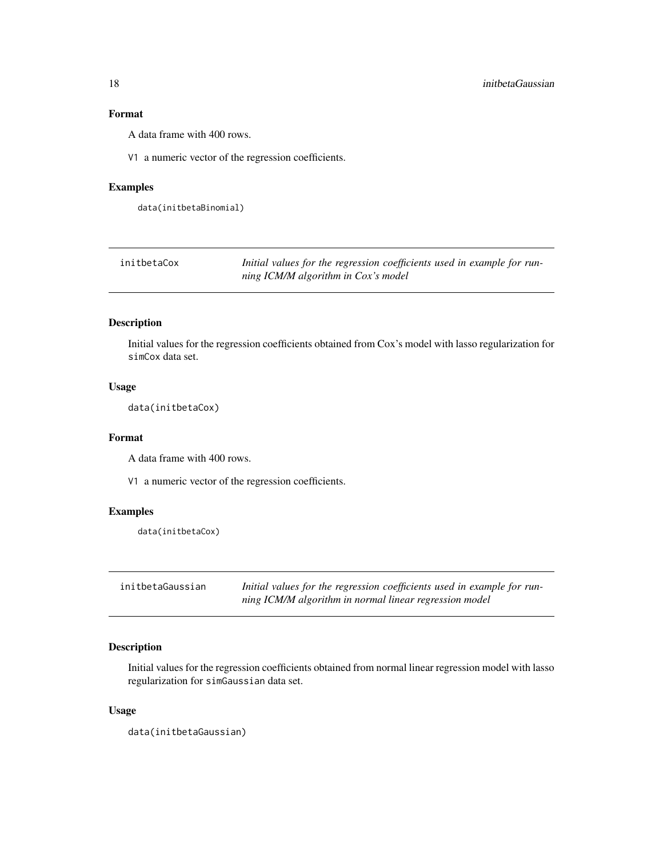### <span id="page-17-0"></span>Format

A data frame with 400 rows.

V1 a numeric vector of the regression coefficients.

#### Examples

data(initbetaBinomial)

| initbetaCox | Initial values for the regression coefficients used in example for run- |
|-------------|-------------------------------------------------------------------------|
|             | ning ICM/M algorithm in Cox's model                                     |

#### Description

Initial values for the regression coefficients obtained from Cox's model with lasso regularization for simCox data set.

#### Usage

data(initbetaCox)

#### Format

A data frame with 400 rows.

V1 a numeric vector of the regression coefficients.

#### Examples

data(initbetaCox)

| initbetaGaussian | Initial values for the regression coefficients used in example for run- |
|------------------|-------------------------------------------------------------------------|
|                  | ning ICM/M algorithm in normal linear regression model                  |

#### Description

Initial values for the regression coefficients obtained from normal linear regression model with lasso regularization for simGaussian data set.

#### Usage

data(initbetaGaussian)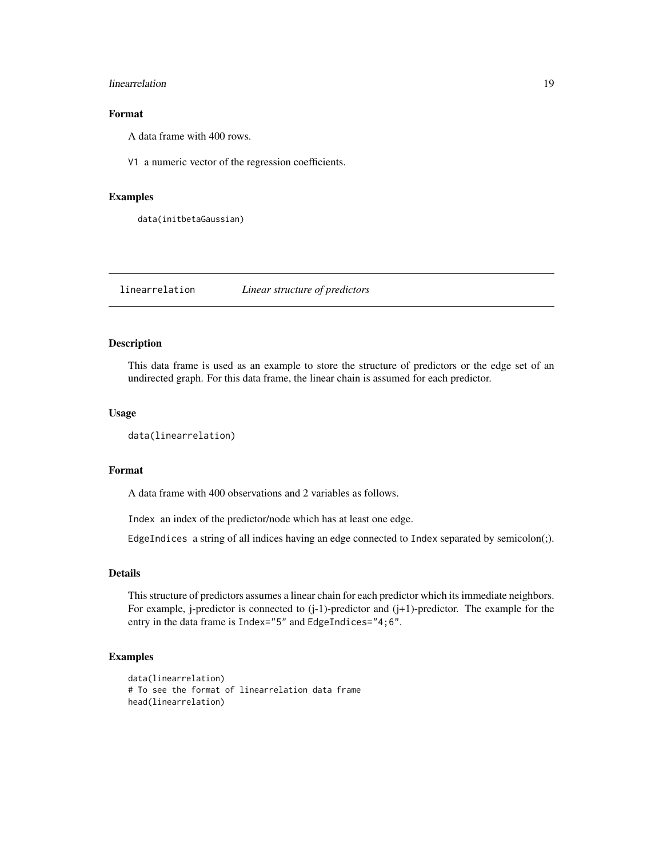#### <span id="page-18-0"></span>linearrelation and the set of the set of the set of the set of the set of the set of the set of the set of the set of the set of the set of the set of the set of the set of the set of the set of the set of the set of the s

#### Format

A data frame with 400 rows.

V1 a numeric vector of the regression coefficients.

#### Examples

data(initbetaGaussian)

linearrelation *Linear structure of predictors*

#### Description

This data frame is used as an example to store the structure of predictors or the edge set of an undirected graph. For this data frame, the linear chain is assumed for each predictor.

#### Usage

```
data(linearrelation)
```
#### Format

A data frame with 400 observations and 2 variables as follows.

Index an index of the predictor/node which has at least one edge.

EdgeIndices a string of all indices having an edge connected to Index separated by semicolon(;).

#### Details

This structure of predictors assumes a linear chain for each predictor which its immediate neighbors. For example, j-predictor is connected to  $(j-1)$ -predictor and  $(j+1)$ -predictor. The example for the entry in the data frame is Index="5" and EdgeIndices="4;6".

```
data(linearrelation)
# To see the format of linearrelation data frame
head(linearrelation)
```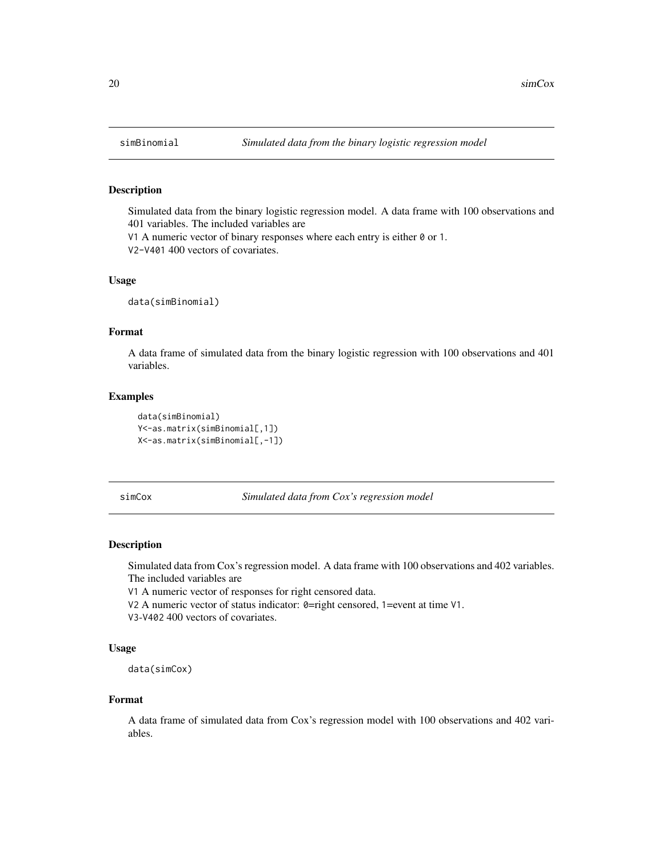#### Description

Simulated data from the binary logistic regression model. A data frame with 100 observations and 401 variables. The included variables are

V1 A numeric vector of binary responses where each entry is either 0 or 1.

V2-V401 400 vectors of covariates.

#### Usage

data(simBinomial)

#### Format

A data frame of simulated data from the binary logistic regression with 100 observations and 401 variables.

#### Examples

data(simBinomial) Y<-as.matrix(simBinomial[,1]) X<-as.matrix(simBinomial[,-1])

simCox *Simulated data from Cox's regression model*

#### Description

Simulated data from Cox's regression model. A data frame with 100 observations and 402 variables. The included variables are

V1 A numeric vector of responses for right censored data.

V2 A numeric vector of status indicator: 0=right censored, 1=event at time V1.

V3-V402 400 vectors of covariates.

#### Usage

```
data(simCox)
```
#### Format

A data frame of simulated data from Cox's regression model with 100 observations and 402 variables.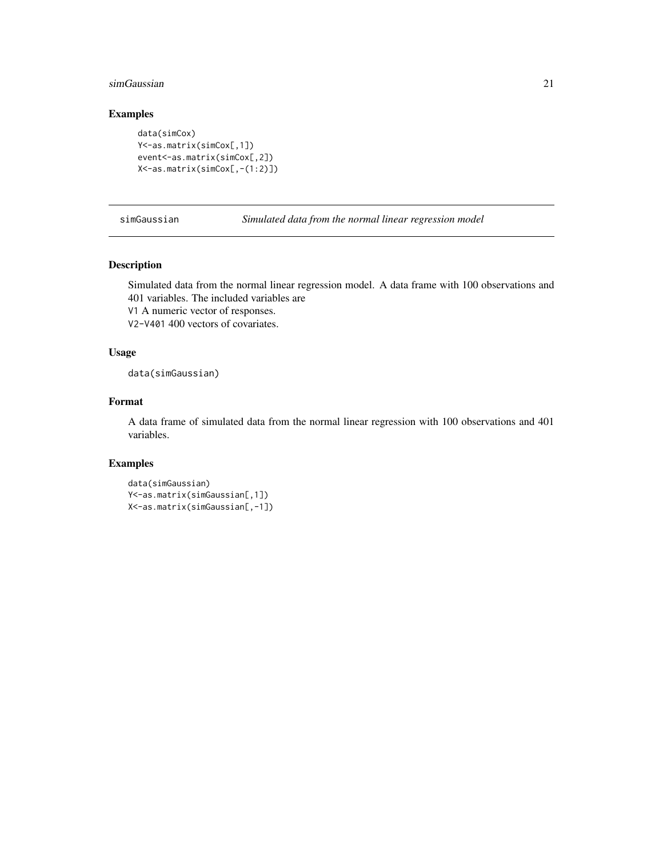#### <span id="page-20-0"></span>simGaussian 21

### Examples

```
data(simCox)
Y<-as.matrix(simCox[,1])
event<-as.matrix(simCox[,2])
X<-as.matrix(simCox[,-(1:2)])
```
simGaussian *Simulated data from the normal linear regression model*

#### Description

Simulated data from the normal linear regression model. A data frame with 100 observations and 401 variables. The included variables are

V1 A numeric vector of responses.

V2-V401 400 vectors of covariates.

#### Usage

data(simGaussian)

#### Format

A data frame of simulated data from the normal linear regression with 100 observations and 401 variables.

```
data(simGaussian)
Y<-as.matrix(simGaussian[,1])
X<-as.matrix(simGaussian[,-1])
```